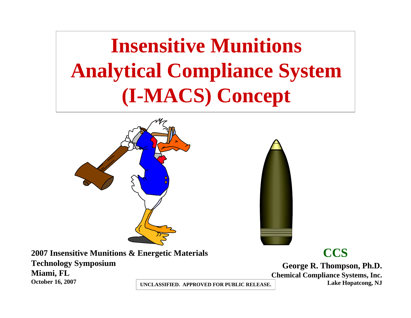**Insensitive Munitions Analytical Compliance System (I-MACS) Concept**





**2007 Insensitive Munitions & Energetic Materials Technology Symposium Miami, FL October 16, 2007**

**CCS**

**George R. Thompson, Ph.D. Chemical Compliance Systems, Inc. Lake Hopatcong, NJ**

**UNCLASSIFIED. APPROVED FOR PUBLIC RELEASE.**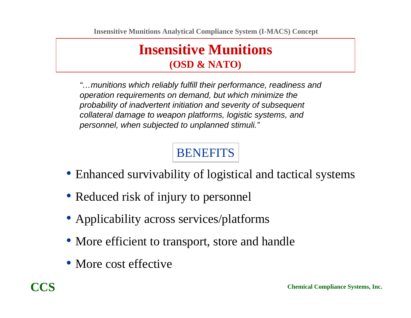### **Insensitive Munitions (OSD & NATO)**

*"…munitions which reliably fulfill their performance, readiness and operation requirements on demand, but which minimize the probability of inadvertent initiation and severity of subsequent collateral damage to weapon platforms, logistic systems, and personnel, when subjected to unplanned stimuli."*

# **BENEFITS**

- Enhanced survivability of logistical and tactical systems
- Reduced risk of injury to personnel
- Applicability across services/platforms
- More efficient to transport, store and handle
- More cost effective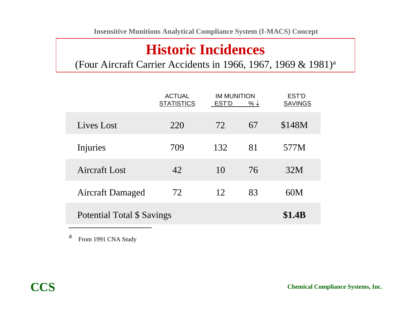## **Historic Incidences**

(Four Aircraft Carrier Accidents in 1966, 1967, 1969 & 1981)a

|                            | <b>ACTUAL</b><br><b>STATISTICS</b> | <b>IM MUNITION</b><br>EST'D<br>% $\downarrow$ |    | EST'D<br><b>SAVINGS</b> |
|----------------------------|------------------------------------|-----------------------------------------------|----|-------------------------|
| Lives Lost                 | 220                                | 72                                            | 67 | \$148M                  |
| Injuries                   | 709                                | 132                                           | 81 | 577M                    |
| Aircraft Lost              | 42                                 | 10                                            | 76 | 32M                     |
| <b>Aircraft Damaged</b>    | 72                                 | 12                                            | 83 | 60M                     |
| Potential Total \$ Savings |                                    |                                               |    | <b>\$1.4B</b>           |

a From 1991 CNA Study

 $\mathcal{L}_\mathcal{L}$  , we can assume that the contract of the contract of the contract of the contract of the contract of the contract of the contract of the contract of the contract of the contract of the contract of the contr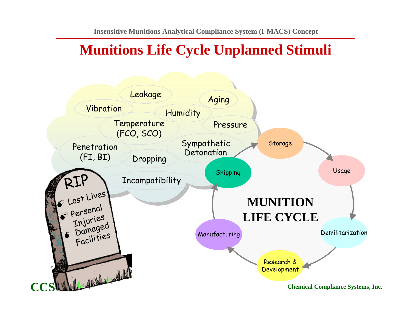## **Munitions Life Cycle Unplanned Stimuli**

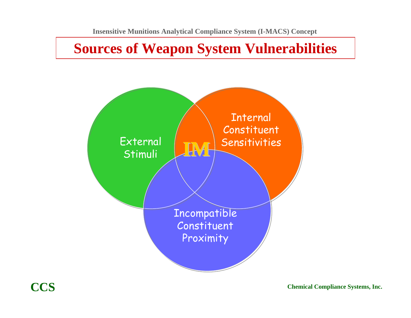### **Sources of Weapon System Vulnerabilities**

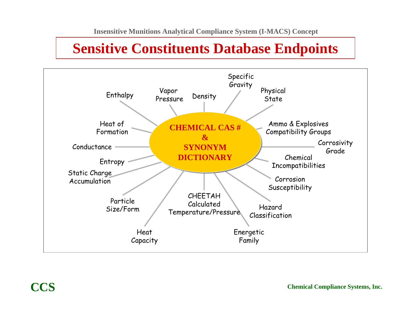## **Sensitive Constituents Database Endpoints**

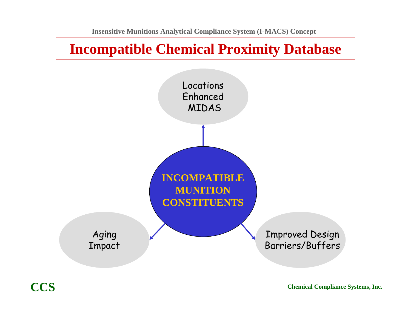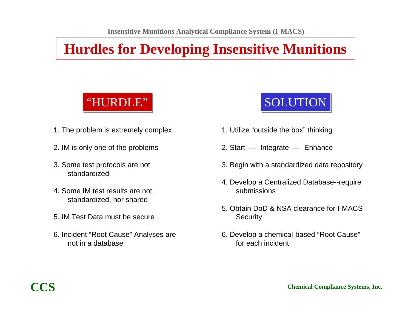# **Hurdles for Developing Insensitive Munitions**

# "HURDLE" "HURDLE"

- 1. The problem is extremely complex
- 2. IM is only one of the problems
- 3. Some test protocols are not standardized
- 4. Some IM test results are not standardized, nor shared
- 5. IM Test Data must be secure
- 6. Incident "Root Cause" Analyses are not in a database

# **SOLUTION**

- 1. Utilize "outside the box" thinking
- 2. Start Integrate Enhance
- 3. Begin with a standardized data repository
- 4. Develop a Centralized Database--require submissions
- 5. Obtain DoD & NSA clearance for I-MACS **Security**
- 6. Develop a chemical-based "Root Cause" for each incident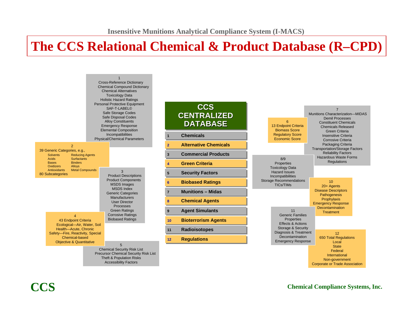### **The CCS Relational Chemical & Product Database (R–CPD)**



#### **Chemical Compliance Systems, Inc.**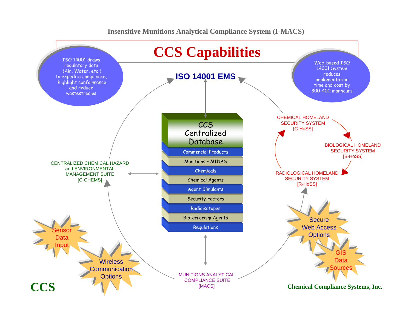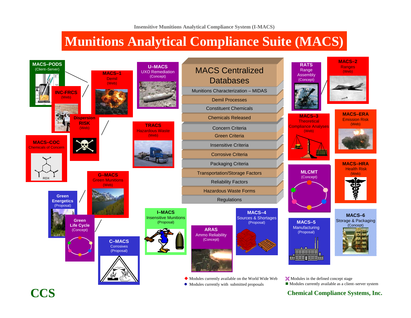### **Munitions Analytical Compliance Suite (MACS)**



**Chemical Compliance Systems, Inc.**

**CCS**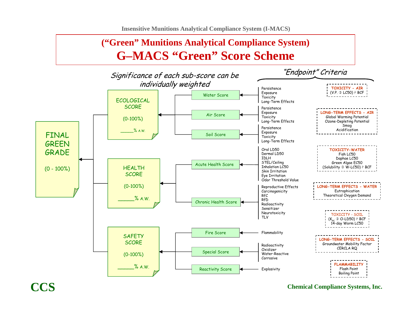**Insensitive Munitions Analytical Compliance System (I-MACS)**

### **("Green" Munitions Analytical Compliance System) G–MACS "Green" Score Scheme**



**Chemical Compliance Systems, Inc.**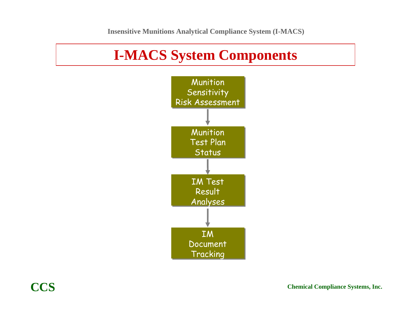## **I-MACS System Components**

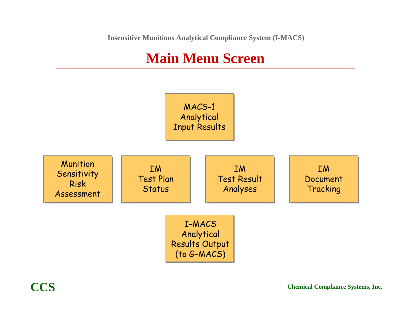

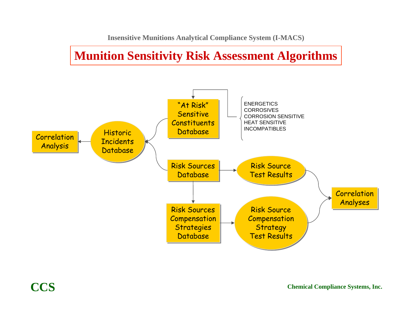### **Munition Sensitivity Risk Assessment Algorithms**



**CCS**

**Chemical Compliance Systems, Inc.**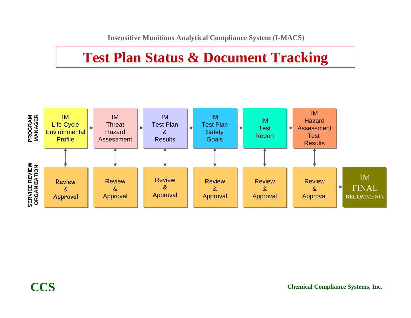## **Test Plan Status & Document Tracking**

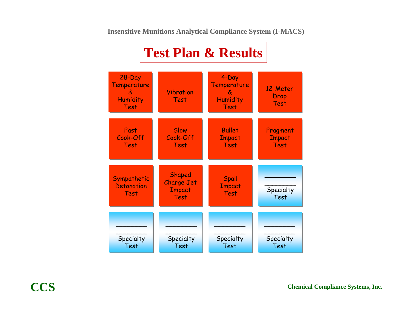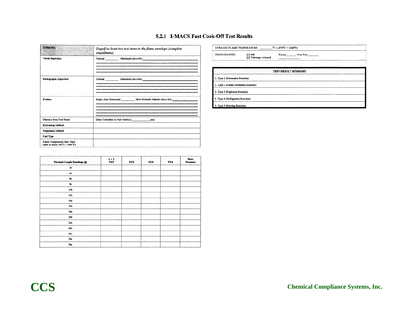#### 5.2.1 I-MACS Fast Cook-Off Test Results

| ITEM NO.                                                    | Engulf at least two test items in the flame envelope (complete<br>engulfment). |
|-------------------------------------------------------------|--------------------------------------------------------------------------------|
| Visual Inspection                                           |                                                                                |
| Radiographic Inspection                                     |                                                                                |
| Position                                                    | Major Axis Horizontal Most Probable Attitude ( <i>describe</i> )               |
| Distance from Fuel Basin                                    | (Item Centerline to Fuel Surface) mm<br>_________________                      |
| Restraining Method                                          |                                                                                |
| <b>Suspension Method</b>                                    |                                                                                |
| Fuel Type                                                   |                                                                                |
| Flame Temperature Rise Time<br>(time to reach 540°C=1000°F) |                                                                                |

| Thermal Couple Readings @: | $2 * I$<br>TCI | TC <sub>2</sub> | TC3 | TC4 | Bore<br>Pressure |
|----------------------------|----------------|-----------------|-----|-----|------------------|
| 2s                         |                |                 |     |     |                  |
| 4s                         |                |                 |     |     |                  |
| 68                         |                |                 |     |     |                  |
| 8s                         |                |                 |     |     |                  |
| 10 <sub>s</sub>            |                |                 |     |     |                  |
| 12s                        |                |                 |     |     |                  |
| 14s                        |                |                 |     |     |                  |
| 16s                        |                |                 |     |     |                  |
| 18s                        |                |                 |     |     |                  |
| 20s                        |                |                 |     |     |                  |
| 22s                        |                |                 |     |     |                  |
| 24s                        |                |                 |     |     |                  |
| 26s                        |                |                 |     |     |                  |
| 28s                        |                |                 |     |     |                  |
| 30s                        |                |                 |     |     |                  |

| PHOTOGRAPHY:                            | $[1]$ Still<br>[2] Videotape w/sound |                     | Pretest Post-Test |  |
|-----------------------------------------|--------------------------------------|---------------------|-------------------|--|
|                                         |                                      |                     |                   |  |
|                                         |                                      | TEST RESULT SUMMARY |                   |  |
| 1. Type 1 (Detonation Reaction)         |                                      |                     |                   |  |
| 2. Type 2 (Partial Detonation Reaction) |                                      |                     |                   |  |
| 3. Type 3 (Explosion Reaction)          |                                      |                     |                   |  |
| 4. Type 4 (Deflagration Reaction)       |                                      |                     |                   |  |
| 5. Type 5 (Burning Reaction)            |                                      |                     |                   |  |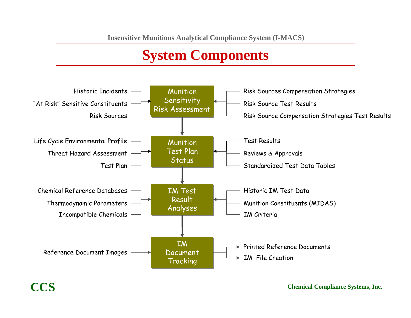# **System Components**



### **CCS**

**Chemical Compliance Systems, Inc.**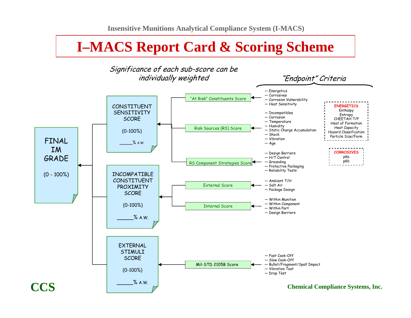### **I–MACS Report Card & Scoring Scheme**

![](_page_19_Figure_2.jpeg)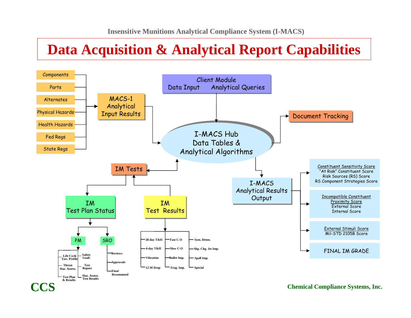### **Data Acquisition & Analytical Report Capabilities**

![](_page_20_Figure_2.jpeg)